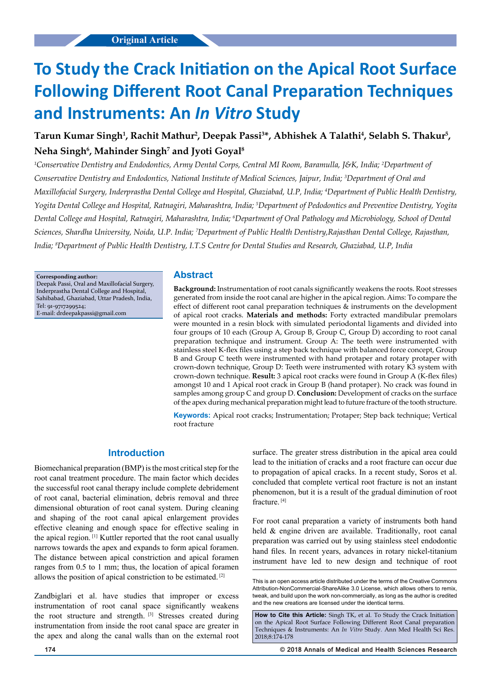# **To Study the Crack Initiation on the Apical Root Surface Following Different Root Canal Preparation Techniques and Instruments: An** *In Vitro* **Study**

# **Tarun Kumar Singh1 , Rachit Mathur2 , Deepak Passi3 \*, Abhishek A Talathi4 , Selabh S. Thakur5 , Neha Singh6 , Mahinder Singh7 and Jyoti Goyal8**

*1 Conservative Dentistry and Endodontics, Army Dental Corps, Central MI Room, Baramulla, J&K, India; 2 Department of Conservative Dentistry and Endodontics, National Institute of Medical Sciences, Jaipur, India; 3 Department of Oral and Maxillofacial Surgery, Inderprastha Dental College and Hospital, Ghaziabad, U.P, India; 4 Department of Public Health Dentistry, Yogita Dental College and Hospital, Ratnagiri, Maharashtra, India; 5 Department of Pedodontics and Preventive Dentistry, Yogita Dental College and Hospital, Ratnagiri, Maharashtra, India; 6 Department of Oral Pathology and Microbiology, School of Dental Sciences, Shardha University, Noida, U.P. India; 7 Department of Public Health Dentistry,Rajasthan Dental College, Rajasthan, India; 8 Department of Public Health Dentistry, I.T.S Centre for Dental Studies and Research, Ghaziabad, U.P, India*

**Corresponding author:**

Deepak Passi, Oral and Maxillofacial Surgery, Inderprastha Dental College and Hospital, Sahibabad, Ghaziabad, Uttar Pradesh, India, Tel: 91-9717299524; E-mail: drdeepakpassi@gmail.com

### **Abstract**

**Background:** Instrumentation of root canals significantly weakens the roots. Root stresses generated from inside the root canal are higher in the apical region. Aims: To compare the effect of different root canal preparation techniques & instruments on the development of apical root cracks. **Materials and methods:** Forty extracted mandibular premolars were mounted in a resin block with simulated periodontal ligaments and divided into four groups of 10 each (Group A, Group B, Group C, Group D) according to root canal preparation technique and instrument. Group A: The teeth were instrumented with stainless steel K-flex files using a step back technique with balanced force concept, Group B and Group C teeth were instrumented with hand protaper and rotary protaper with crown-down technique, Group D: Teeth were instrumented with rotary K3 system with crown-down technique. **Result:** 3 apical root cracks were found in Group A (K-flex files) amongst 10 and 1 Apical root crack in Group B (hand protaper). No crack was found in samples among group C and group D. **Conclusion:** Development of cracks on the surface of the apex during mechanical preparation might lead to future fracture of the tooth structure.

**Keywords:** Apical root cracks; Instrumentation; Protaper; Step back technique; Vertical root fracture

# **Introduction**

Biomechanical preparation (BMP) is the most critical step for the root canal treatment procedure. The main factor which decides the successful root canal therapy include complete debridement of root canal, bacterial elimination, debris removal and three dimensional obturation of root canal system. During cleaning and shaping of the root canal apical enlargement provides effective cleaning and enough space for effective sealing in the apical region. [1] Kuttler reported that the root canal usually narrows towards the apex and expands to form apical foramen. The distance between apical constriction and apical foramen ranges from 0.5 to 1 mm; thus, the location of apical foramen allows the position of apical constriction to be estimated. [2]

Zandbiglari et al. have studies that improper or excess instrumentation of root canal space significantly weakens the root structure and strength. [3] Stresses created during instrumentation from inside the root canal space are greater in the apex and along the canal walls than on the external root surface. The greater stress distribution in the apical area could lead to the initiation of cracks and a root fracture can occur due to propagation of apical cracks. In a recent study, Soros et al. concluded that complete vertical root fracture is not an instant phenomenon, but it is a result of the gradual diminution of root fracture. [4]

For root canal preparation a variety of instruments both hand held & engine driven are available. Traditionally, root canal preparation was carried out by using stainless steel endodontic hand files. In recent years, advances in rotary nickel-titanium instrument have led to new design and technique of root

This is an open access article distributed under the terms of the Creative Commons Attribution‑NonCommercial‑ShareAlike 3.0 License, which allows others to remix, tweak, and build upon the work non‑commercially, as long as the author is credited and the new creations are licensed under the identical terms.

**How to Cite this Article:** Singh TK, et al. To Study the Crack Initiation on the Apical Root Surface Following Different Root Canal preparation Techniques & Instruments: An *In Vitro* Study. Ann Med Health Sci Res. 2018;8:174-178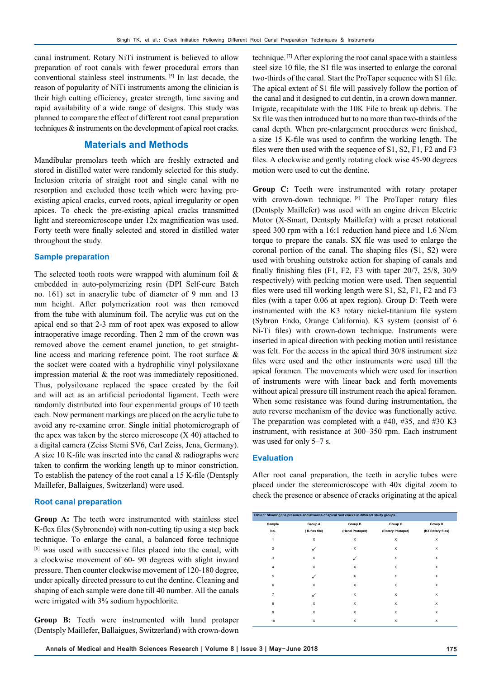canal instrument. Rotary NiTi instrument is believed to allow preparation of root canals with fewer procedural errors than conventional stainless steel instruments. [5] In last decade, the reason of popularity of NiTi instruments among the clinician is their high cutting efficiency, greater strength, time saving and rapid availability of a wide range of designs. This study was planned to compare the effect of different root canal preparation techniques & instruments on the development of apical root cracks.

# **Materials and Methods**

Mandibular premolars teeth which are freshly extracted and stored in distilled water were randomly selected for this study. Inclusion criteria of straight root and single canal with no resorption and excluded those teeth which were having preexisting apical cracks, curved roots, apical irregularity or open apices. To check the pre-existing apical cracks transmitted light and stereomicroscope under 12x magnification was used. Forty teeth were finally selected and stored in distilled water throughout the study.

#### **Sample preparation**

The selected tooth roots were wrapped with aluminum foil  $\&$ embedded in auto-polymerizing resin (DPI Self-cure Batch no. 161) set in anacrylic tube of diameter of 9 mm and 13 mm height. After polymerization root was then removed from the tube with aluminum foil. The acrylic was cut on the apical end so that 2-3 mm of root apex was exposed to allow intraoperative image recording. Then 2 mm of the crown was removed above the cement enamel junction, to get straightline access and marking reference point. The root surface & the socket were coated with a hydrophilic vinyl polysiloxane impression material & the root was immediately repositioned. Thus, polysiloxane replaced the space created by the foil and will act as an artificial periodontal ligament. Teeth were randomly distributed into four experimental groups of 10 teeth each. Now permanent markings are placed on the acrylic tube to avoid any re-examine error. Single initial photomicrograph of the apex was taken by the stereo microscope  $(X 40)$  attached to a digital camera (Zeiss Stemi SV6, Carl Zeiss, Jena, Germany). A size 10 K-file was inserted into the canal & radiographs were taken to confirm the working length up to minor constriction. To establish the patency of the root canal a 15 K-file (Dentsply Maillefer, Ballaigues, Switzerland) were used.

#### **Root canal preparation**

**Group A:** The teeth were instrumented with stainless steel K-flex files (Sybronendo) with non-cutting tip using a step back technique. To enlarge the canal, a balanced force technique [6] was used with successive files placed into the canal, with a clockwise movement of 60- 90 degrees with slight inward pressure. Then counter clockwise movement of 120-180 degree, under apically directed pressure to cut the dentine. Cleaning and shaping of each sample were done till 40 number. All the canals were irrigated with 3% sodium hypochlorite.

**Group B:** Teeth were instrumented with hand protaper (Dentsply Maillefer, Ballaigues, Switzerland) with crown-down technique. [7] After exploring the root canal space with a stainless steel size 10 file, the S1 file was inserted to enlarge the coronal two-thirds of the canal. Start the ProTaper sequence with S1 file. The apical extent of S1 file will passively follow the portion of the canal and it designed to cut dentin, in a crown down manner. Irrigate, recapitulate with the 10K File to break up debris. The Sx file was then introduced but to no more than two-thirds of the canal depth. When pre-enlargement procedures were finished, a size 15 K-file was used to confirm the working length. The files were then used with the sequence of S1, S2, F1, F2 and F3 files. A clockwise and gently rotating clock wise 45-90 degrees motion were used to cut the dentine.

**Group C:** Teeth were instrumented with rotary protaper with crown-down technique. [8] The ProTaper rotary files (Dentsply Maillefer) was used with an engine driven Electric Motor (X-Smart, Dentsply Maillefer) with a preset rotational speed 300 rpm with a 16:1 reduction hand piece and 1.6 N/cm torque to prepare the canals. SX file was used to enlarge the coronal portion of the canal. The shaping files (S1, S2) were used with brushing outstroke action for shaping of canals and finally finishing files (F1, F2, F3 with taper 20/7, 25/8, 30/9 respectively) with pecking motion were used. Then sequential files were used till working length were S1, S2, F1, F2 and F3 files (with a taper 0.06 at apex region). Group D: Teeth were instrumented with the K3 rotary nickel-titanium file system (Sybron Endo, Orange California). K3 system (consist of 6 Ni-Ti files) with crown-down technique. Instruments were inserted in apical direction with pecking motion until resistance was felt. For the access in the apical third 30/8 instrument size files were used and the other instruments were used till the apical foramen. The movements which were used for insertion of instruments were with linear back and forth movements without apical pressure till instrument reach the apical foramen. When some resistance was found during instrumentation, the auto reverse mechanism of the device was functionally active. The preparation was completed with a #40, #35, and #30 K3 instrument, with resistance at 300–350 rpm. Each instrument was used for only 5–7 s.

#### **Evaluation**

After root canal preparation, the teeth in acrylic tubes were placed under the stereomicroscope with 40x digital zoom to check the presence or absence of cracks originating at the apical

| Table 1: Showing the presence and absence of apical root cracks in different study groups. |               |                 |                   |                   |
|--------------------------------------------------------------------------------------------|---------------|-----------------|-------------------|-------------------|
| Sample                                                                                     | Group A       | Group B         | Group C           | Group D           |
| No.                                                                                        | (K-flex file) | (Hand Protaper) | (Rotary Protaper) | (K3 Rotary files) |
| 1                                                                                          | x             | X               | x                 | X                 |
| 2                                                                                          | ✓             | X               | x                 | X                 |
| 3                                                                                          | X             |                 | X                 | x                 |
| $\overline{4}$                                                                             | X             | X               | X                 | x                 |
| 5                                                                                          | ✓             | X               | x                 | X                 |
| 6                                                                                          | X             | X               | X                 | X                 |
| $\overline{7}$                                                                             | v             | X               | X                 | X                 |
| 8                                                                                          | X             | X               | X                 | X                 |
| 9                                                                                          | X             | X               | X                 | X                 |
| 10                                                                                         | x             | x               | x                 | X                 |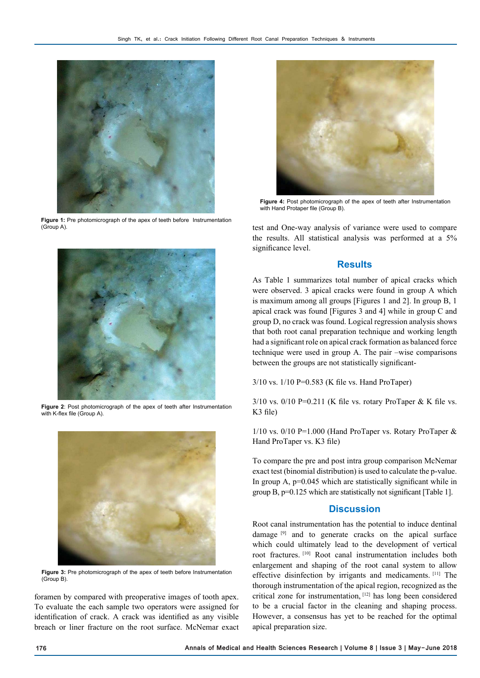

Figure 1: Pre photomicrograph of the apex of teeth before Instrumentation (Group A).



**Figure 2**: Post photomicrograph of the apex of teeth after Instrumentation with K-flex file (Group A).



**Figure 3:** Pre photomicrograph of the apex of teeth before Instrumentation (Group B).

foramen by compared with preoperative images of tooth apex. To evaluate the each sample two operators were assigned for identification of crack. A crack was identified as any visible breach or liner fracture on the root surface. McNemar exact



**Figure 4:** Post photomicrograph of the apex of teeth after Instrumentation with Hand Protaper file (Group B).

test and One-way analysis of variance were used to compare the results. All statistical analysis was performed at a 5% significance level.

# **Results**

As Table 1 summarizes total number of apical cracks which were observed. 3 apical cracks were found in group A which is maximum among all groups [Figures 1 and 2]. In group B, 1 apical crack was found [Figures 3 and 4] while in group C and group D, no crack was found. Logical regression analysis shows that both root canal preparation technique and working length had a significant role on apical crack formation as balanced force technique were used in group A. The pair –wise comparisons between the groups are not statistically significant-

3/10 vs. 1/10 P=0.583 (K file vs. Hand ProTaper)

 $3/10$  vs.  $0/10$  P=0.211 (K file vs. rotary ProTaper & K file vs. K3 file)

1/10 vs.  $0/10$  P=1.000 (Hand ProTaper vs. Rotary ProTaper & Hand ProTaper vs. K3 file)

To compare the pre and post intra group comparison McNemar exact test (binomial distribution) is used to calculate the p-value. In group A, p=0.045 which are statistically significant while in group B, p=0.125 which are statistically not significant [Table 1].

# **Discussion**

Root canal instrumentation has the potential to induce dentinal damage [9] and to generate cracks on the apical surface which could ultimately lead to the development of vertical root fractures. [10] Root canal instrumentation includes both enlargement and shaping of the root canal system to allow effective disinfection by irrigants and medicaments. [11] The thorough instrumentation of the apical region, recognized as the critical zone for instrumentation, [12] has long been considered to be a crucial factor in the cleaning and shaping process. However, a consensus has yet to be reached for the optimal apical preparation size.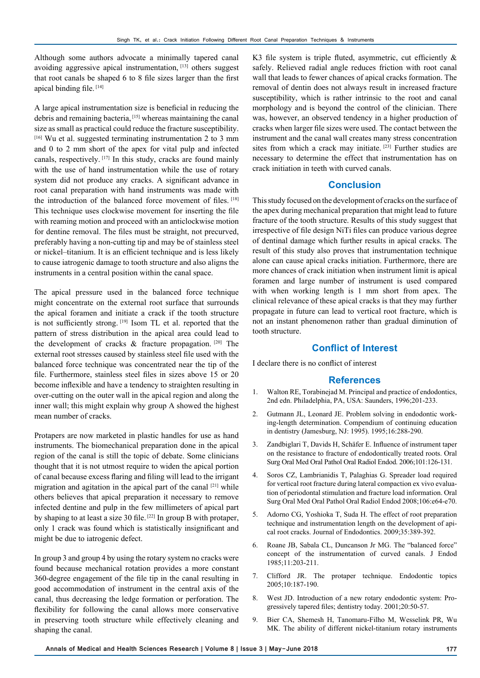Although some authors advocate a minimally tapered canal avoiding aggressive apical instrumentation, [13] others suggest that root canals be shaped 6 to 8 file sizes larger than the first apical binding file. [14]

A large apical instrumentation size is beneficial in reducing the debris and remaining bacteria, [15] whereas maintaining the canal size as small as practical could reduce the fracture susceptibility. [16] Wu et al. suggested terminating instrumentation 2 to 3 mm and 0 to 2 mm short of the apex for vital pulp and infected canals, respectively. [17] In this study, cracks are found mainly with the use of hand instrumentation while the use of rotary system did not produce any cracks. A significant advance in root canal preparation with hand instruments was made with the introduction of the balanced force movement of files. [18] This technique uses clockwise movement for inserting the file with reaming motion and proceed with an anticlockwise motion for dentine removal. The files must be straight, not precurved, preferably having a non-cutting tip and may be of stainless steel or nickel–titanium. It is an efficient technique and is less likely to cause iatrogenic damage to tooth structure and also aligns the instruments in a central position within the canal space.

The apical pressure used in the balanced force technique might concentrate on the external root surface that surrounds the apical foramen and initiate a crack if the tooth structure is not sufficiently strong. [19] Isom TL et al. reported that the pattern of stress distribution in the apical area could lead to the development of cracks & fracture propagation. [20] The external root stresses caused by stainless steel file used with the balanced force technique was concentrated near the tip of the file. Furthermore, stainless steel files in sizes above 15 or 20 become inflexible and have a tendency to straighten resulting in over-cutting on the outer wall in the apical region and along the inner wall; this might explain why group A showed the highest mean number of cracks.

Protapers are now marketed in plastic handles for use as hand instruments. The biomechanical preparation done in the apical region of the canal is still the topic of debate. Some clinicians thought that it is not utmost require to widen the apical portion of canal because excess flaring and filing will lead to the irrigant migration and agitation in the apical part of the canal [21] while others believes that apical preparation it necessary to remove infected dentine and pulp in the few millimeters of apical part by shaping to at least a size 30 file. [22] In group B with protaper, only 1 crack was found which is statistically insignificant and might be due to iatrogenic defect.

In group 3 and group 4 by using the rotary system no cracks were found because mechanical rotation provides a more constant 360-degree engagement of the file tip in the canal resulting in good accommodation of instrument in the central axis of the canal, thus decreasing the ledge formation or perforation. The flexibility for following the canal allows more conservative in preserving tooth structure while effectively cleaning and shaping the canal.

K3 file system is triple fluted, asymmetric, cut efficiently  $\&$ safely. Relieved radial angle reduces friction with root canal wall that leads to fewer chances of apical cracks formation. The removal of dentin does not always result in increased fracture susceptibility, which is rather intrinsic to the root and canal morphology and is beyond the control of the clinician. There was, however, an observed tendency in a higher production of cracks when larger file sizes were used. The contact between the instrument and the canal wall creates many stress concentration sites from which a crack may initiate. [23] Further studies are necessary to determine the effect that instrumentation has on crack initiation in teeth with curved canals.

#### **Conclusion**

This study focused on the development of cracks on the surface of the apex during mechanical preparation that might lead to future fracture of the tooth structure. Results of this study suggest that irrespective of file design NiTi files can produce various degree of dentinal damage which further results in apical cracks. The result of this study also proves that instrumentation technique alone can cause apical cracks initiation. Furthermore, there are more chances of crack initiation when instrument limit is apical foramen and large number of instrument is used compared with when working length is 1 mm short from apex. The clinical relevance of these apical cracks is that they may further propagate in future can lead to vertical root fracture, which is not an instant phenomenon rather than gradual diminution of tooth structure.

## **Conflict of Interest**

I declare there is no conflict of interest

#### **References**

- 1. Walton RE, Torabinejad M. Principal and practice of endodontics, 2nd edn. Philadelphia, PA, USA: Saunders, 1996;201-233.
- 2. Gutmann JL, Leonard JE. Problem solving in endodontic working-length determination. Compendium of continuing education in dentistry (Jamesburg, NJ: 1995). 1995;16:288-290.
- 3. Zandbiglari T, Davids H, Schäfer E. Influence of instrument taper on the resistance to fracture of endodontically treated roots. Oral Surg Oral Med Oral Pathol Oral Radiol Endod. 2006;101:126-131.
- 4. Soros CZ, Lambrianidis T, Palaghias G. Spreader load required for vertical root fracture during lateral compaction ex vivo evaluation of periodontal stimulation and fracture load information. Oral Surg Oral Med Oral Pathol Oral Radiol Endod 2008;106:e64-e70.
- 5. Adorno CG, Yoshioka T, Suda H. The effect of root preparation technique and instrumentation length on the development of apical root cracks. Journal of Endodontics. 2009;35:389-392.
- 6. Roane JB, Sabala CL, Duncanson Jr MG. The "balanced force" concept of the instrumentation of curved canals. J Endod 1985;11:203-211.
- 7. Clifford JR. The protaper technique. Endodontic topics 2005;10:187-190.
- 8. West JD. Introduction of a new rotary endodontic system: Progressively tapered files; dentistry today. 2001;20:50-57.
- 9. Bier CA, Shemesh H, Tanomaru-Filho M, Wesselink PR, Wu MK. The ability of different nickel-titanium rotary instruments